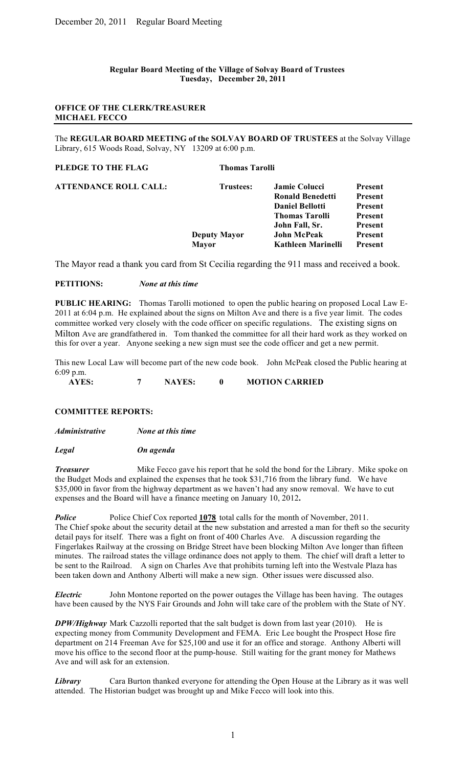#### **Regular Board Meeting of the Village of Solvay Board of Trustees Tuesday, December 20, 2011**

# **OFFICE OF THE CLERK/TREASURER MICHAEL FECCO**

The **REGULAR BOARD MEETING of the SOLVAY BOARD OF TRUSTEES** at the Solvay Village Library, 615 Woods Road, Solvay, NY 13209 at 6:00 p.m.

| PLEDGE TO THE FLAG           | <b>Thomas Tarolli</b> |                         |                |
|------------------------------|-----------------------|-------------------------|----------------|
| <b>ATTENDANCE ROLL CALL:</b> | Trustees:             | <b>Jamie Colucci</b>    | <b>Present</b> |
|                              |                       | <b>Ronald Benedetti</b> | <b>Present</b> |
|                              |                       | <b>Daniel Bellotti</b>  | <b>Present</b> |
|                              |                       | <b>Thomas Tarolli</b>   | <b>Present</b> |
|                              |                       | John Fall, Sr.          | <b>Present</b> |
|                              | <b>Deputy Mayor</b>   | <b>John McPeak</b>      | <b>Present</b> |
|                              | Mavor                 | Kathleen Marinelli      | Present        |

The Mayor read a thank you card from St Cecilia regarding the 911 mass and received a book.

#### **PETITIONS:** *None at this time*

**PUBLIC HEARING:** Thomas Tarolli motioned to open the public hearing on proposed Local Law E-2011 at 6:04 p.m. He explained about the signs on Milton Ave and there is a five year limit. The codes committee worked very closely with the code officer on specific regulations. The existing signs on Milton Ave are grandfathered in. Tom thanked the committee for all their hard work as they worked on this for over a year. Anyone seeking a new sign must see the code officer and get a new permit.

This new Local Law will become part of the new code book. John McPeak closed the Public hearing at 6:09 p.m.

**AYES: 7 NAYES: 0 MOTION CARRIED**

## **COMMITTEE REPORTS:**

*Administrative None at this time*

*Legal On agenda*

**Treasurer** Mike Fecco gave his report that he sold the bond for the Library. Mike spoke on the Budget Mods and explained the expenses that he took \$31,716 from the library fund. We have \$35,000 in favor from the highway department as we haven't had any snow removal. We have to cut expenses and the Board will have a finance meeting on January 10, 2012**.** 

*Police* Police Chief Cox reported **1078** total calls for the month of November, 2011. The Chief spoke about the security detail at the new substation and arrested a man for theft so the security detail pays for itself. There was a fight on front of 400 Charles Ave. A discussion regarding the Fingerlakes Railway at the crossing on Bridge Street have been blocking Milton Ave longer than fifteen minutes. The railroad states the village ordinance does not apply to them. The chief will draft a letter to be sent to the Railroad. A sign on Charles Ave that prohibits turning left into the Westvale Plaza has been taken down and Anthony Alberti will make a new sign. Other issues were discussed also.

*Electric* John Montone reported on the power outages the Village has been having. The outages have been caused by the NYS Fair Grounds and John will take care of the problem with the State of NY.

*DPW/Highway* Mark Cazzolli reported that the salt budget is down from last year (2010). He is expecting money from Community Development and FEMA. Eric Lee bought the Prospect Hose fire department on 214 Freeman Ave for \$25,100 and use it for an office and storage. Anthony Alberti will move his office to the second floor at the pump-house. Still waiting for the grant money for Mathews Ave and will ask for an extension.

*Library* Cara Burton thanked everyone for attending the Open House at the Library as it was well attended. The Historian budget was brought up and Mike Fecco will look into this.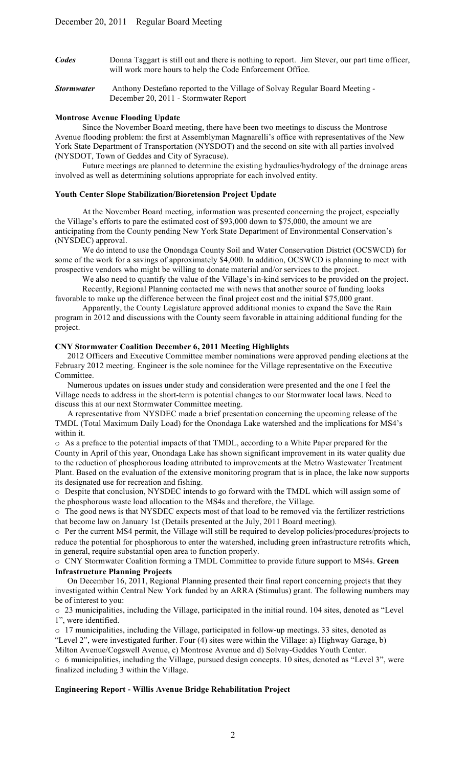- *Codes* Donna Taggart is still out and there is nothing to report. Jim Stever, our part time officer, will work more hours to help the Code Enforcement Office.
- *Stormwater* Anthony Destefano reported to the Village of Solvay Regular Board Meeting December 20, 2011 - Stormwater Report

#### **Montrose Avenue Flooding Update**

Since the November Board meeting, there have been two meetings to discuss the Montrose Avenue flooding problem: the first at Assemblyman Magnarelli's office with representatives of the New York State Department of Transportation (NYSDOT) and the second on site with all parties involved (NYSDOT, Town of Geddes and City of Syracuse).

Future meetings are planned to determine the existing hydraulics/hydrology of the drainage areas involved as well as determining solutions appropriate for each involved entity.

# **Youth Center Slope Stabilization/Bioretension Project Update**

At the November Board meeting, information was presented concerning the project, especially the Village's efforts to pare the estimated cost of \$93,000 down to \$75,000, the amount we are anticipating from the County pending New York State Department of Environmental Conservation's (NYSDEC) approval.

We do intend to use the Onondaga County Soil and Water Conservation District (OCSWCD) for some of the work for a savings of approximately \$4,000. In addition, OCSWCD is planning to meet with prospective vendors who might be willing to donate material and/or services to the project.

We also need to quantify the value of the Village's in-kind services to be provided on the project. Recently, Regional Planning contacted me with news that another source of funding looks

favorable to make up the difference between the final project cost and the initial \$75,000 grant. Apparently, the County Legislature approved additional monies to expand the Save the Rain

program in 2012 and discussions with the County seem favorable in attaining additional funding for the project.

#### **CNY Stormwater Coalition December 6, 2011 Meeting Highlights**

 2012 Officers and Executive Committee member nominations were approved pending elections at the February 2012 meeting. Engineer is the sole nominee for the Village representative on the Executive Committee.

 Numerous updates on issues under study and consideration were presented and the one I feel the Village needs to address in the short-term is potential changes to our Stormwater local laws. Need to discuss this at our next Stormwater Committee meeting.

 A representative from NYSDEC made a brief presentation concerning the upcoming release of the TMDL (Total Maximum Daily Load) for the Onondaga Lake watershed and the implications for MS4's within it.

o As a preface to the potential impacts of that TMDL, according to a White Paper prepared for the County in April of this year, Onondaga Lake has shown significant improvement in its water quality due to the reduction of phosphorous loading attributed to improvements at the Metro Wastewater Treatment Plant. Based on the evaluation of the extensive monitoring program that is in place, the lake now supports its designated use for recreation and fishing.

o Despite that conclusion, NYSDEC intends to go forward with the TMDL which will assign some of the phosphorous waste load allocation to the MS4s and therefore, the Village.

o The good news is that NYSDEC expects most of that load to be removed via the fertilizer restrictions that become law on January 1st (Details presented at the July, 2011 Board meeting).

o Per the current MS4 permit, the Village will still be required to develop policies/procedures/projects to reduce the potential for phosphorous to enter the watershed, including green infrastructure retrofits which, in general, require substantial open area to function properly.

o CNY Stormwater Coalition forming a TMDL Committee to provide future support to MS4s. **Green Infrastructure Planning Projects** 

 On December 16, 2011, Regional Planning presented their final report concerning projects that they investigated within Central New York funded by an ARRA (Stimulus) grant. The following numbers may be of interest to you:

o 23 municipalities, including the Village, participated in the initial round. 104 sites, denoted as "Level 1", were identified.

o 17 municipalities, including the Village, participated in follow-up meetings. 33 sites, denoted as "Level 2", were investigated further. Four (4) sites were within the Village: a) Highway Garage, b) Milton Avenue/Cogswell Avenue, c) Montrose Avenue and d) Solvay-Geddes Youth Center.

o 6 municipalities, including the Village, pursued design concepts. 10 sites, denoted as "Level 3", were finalized including 3 within the Village.

## **Engineering Report - Willis Avenue Bridge Rehabilitation Project**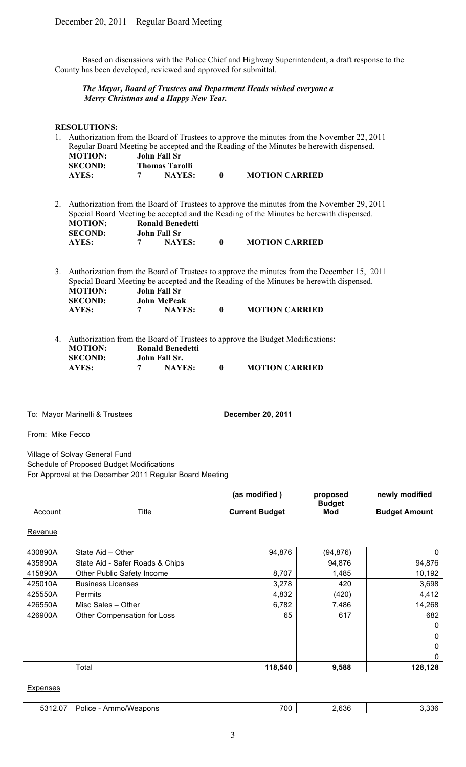Based on discussions with the Police Chief and Highway Superintendent, a draft response to the County has been developed, reviewed and approved for submittal.

## *The Mayor, Board of Trustees and Department Heads wished everyone a Merry Christmas and a Happy New Year.*

### **RESOLUTIONS:**

|    |                |                     |                         |              | 1. Authorization from the Board of Trustees to approve the minutes from the November 22, 2011                                                                                         |
|----|----------------|---------------------|-------------------------|--------------|---------------------------------------------------------------------------------------------------------------------------------------------------------------------------------------|
|    |                |                     |                         |              | Regular Board Meeting be accepted and the Reading of the Minutes be herewith dispensed.                                                                                               |
|    | <b>MOTION:</b> | <b>John Fall Sr</b> |                         |              |                                                                                                                                                                                       |
|    | <b>SECOND:</b> |                     | <b>Thomas Tarolli</b>   |              |                                                                                                                                                                                       |
|    | AYES:          |                     | <b>NAYES:</b>           | $\mathbf{0}$ | <b>MOTION CARRIED</b>                                                                                                                                                                 |
| 2. | <b>MOTION:</b> |                     | <b>Ronald Benedetti</b> |              | Authorization from the Board of Trustees to approve the minutes from the November 29, 2011<br>Special Board Meeting be accepted and the Reading of the Minutes be herewith dispensed. |

| <b>MOTION:</b> | <b>Ronald Benedetti</b> |                       |
|----------------|-------------------------|-----------------------|
| <b>SECOND:</b> | John Fall Sr            |                       |
| AYES:          | <b>NAYES:</b>           | <b>MOTION CARRIED</b> |

3. Authorization from the Board of Trustees to approve the minutes from the December 15, 2011 Special Board Meeting be accepted and the Reading of the Minutes be herewith dispensed. **MOTION: John Fall Sr SECOND: John McPeak AYES: 7 NAYES: 0 MOTION CARRIED**

|                |                         |   | 4. Authorization from the Board of Trustees to approve the Budget Modifications: |
|----------------|-------------------------|---|----------------------------------------------------------------------------------|
| <b>MOTION:</b> | <b>Ronald Benedetti</b> |   |                                                                                  |
| <b>SECOND:</b> | John Fall Sr.           |   |                                                                                  |
| AYES:          | <b>NAYES:</b>           | 0 | <b>MOTION CARRIED</b>                                                            |

To: Mayor Marinelli & Trustees **December 20, 2011** 

From: Mike Fecco

Village of Solvay General Fund Schedule of Proposed Budget Modifications For Approval at the December 2011 Regular Board Meeting

|         |       | (as modified)         | proposed      | newly modified       |
|---------|-------|-----------------------|---------------|----------------------|
|         |       |                       | <b>Budget</b> |                      |
| Account | Title | <b>Current Budget</b> | Mod           | <b>Budget Amount</b> |

Revenue

| 430890A | State Aid - Other               | 94,876  | (94,876) | 0            |
|---------|---------------------------------|---------|----------|--------------|
| 435890A | State Aid - Safer Roads & Chips |         | 94,876   | 94,876       |
| 415890A | Other Public Safety Income      | 8,707   | 1,485    | 10,192       |
| 425010A | <b>Business Licenses</b>        | 3,278   | 420      | 3,698        |
| 425550A | <b>Permits</b>                  | 4,832   | (420)    | 4,412        |
| 426550A | Misc Sales - Other              | 6,782   | 7,486    | 14,268       |
| 426900A | Other Compensation for Loss     | 65      | 617      | 682          |
|         |                                 |         |          | 0            |
|         |                                 |         |          | 0            |
|         |                                 |         |          | 0            |
|         |                                 |         |          | $\mathbf{0}$ |
|         | Total                           | 118,540 | 9,588    | 128,128      |

#### Expenses

| <u>ຳລາດ</u><br>$\sim$ $-$<br>------<br>$\mathbf{A}$ is a set of $\mathbf{A}$<br><br>Police<br>eapons<br>VVA:<br>au<br>.<br>ا زن ل | 700 | $\sim$<br>.<br><i>,,</i><br>UW. | ໍ່ດີດ<br>$\mathbf{A}$ |
|-----------------------------------------------------------------------------------------------------------------------------------|-----|---------------------------------|-----------------------|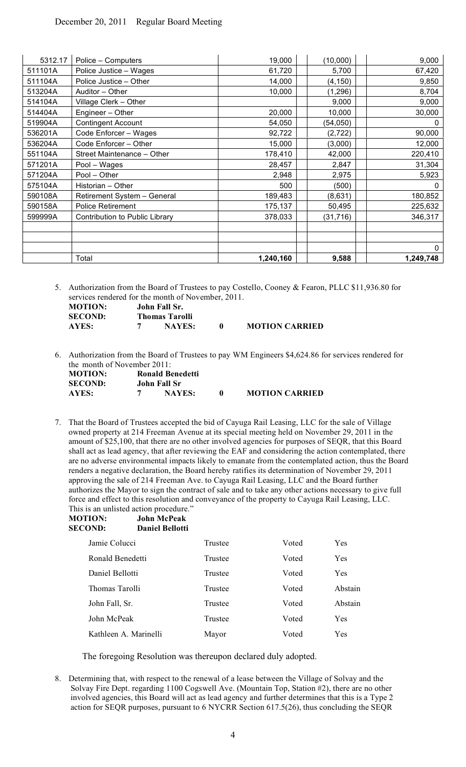| 5312.17 | Police - Computers             | 19,000    | (10,000)  | 9,000     |
|---------|--------------------------------|-----------|-----------|-----------|
| 511101A | Police Justice - Wages         | 61,720    | 5,700     | 67,420    |
| 511104A | Police Justice - Other         | 14,000    | (4, 150)  | 9,850     |
| 513204A | Auditor - Other                | 10,000    | (1, 296)  | 8,704     |
| 514104A | Village Clerk - Other          |           | 9,000     | 9,000     |
| 514404A | Engineer - Other               | 20,000    | 10,000    | 30,000    |
| 519904A | <b>Contingent Account</b>      | 54,050    | (54, 050) | 0         |
| 536201A | Code Enforcer - Wages          | 92,722    | (2,722)   | 90,000    |
| 536204A | Code Enforcer - Other          | 15,000    | (3,000)   | 12,000    |
| 551104A | Street Maintenance - Other     | 178,410   | 42,000    | 220,410   |
| 571201A | Pool - Wages                   | 28,457    | 2,847     | 31,304    |
| 571204A | Pool - Other                   | 2,948     | 2,975     | 5,923     |
| 575104A | Historian - Other              | 500       | (500)     | 0         |
| 590108A | Retirement System - General    | 189,483   | (8,631)   | 180,852   |
| 590158A | <b>Police Retirement</b>       | 175,137   | 50,495    | 225,632   |
| 599999A | Contribution to Public Library | 378,033   | (31, 716) | 346,317   |
|         |                                |           |           |           |
|         |                                |           |           |           |
|         |                                |           |           | 0         |
|         | Total                          | 1,240,160 | 9,588     | 1,249,748 |

5. Authorization from the Board of Trustees to pay Costello, Cooney & Fearon, PLLC \$11,936.80 for services rendered for the month of November, 2011.

| <b>MOTION:</b> | John Fall Sr.  |                       |
|----------------|----------------|-----------------------|
| <b>SECOND:</b> | Thomas Tarolli |                       |
| AYES:          | <b>NAYES:</b>  | <b>MOTION CARRIED</b> |

6. Authorization from the Board of Trustees to pay WM Engineers \$4,624.86 for services rendered for the month of November 2011:

| <b>MOTION:</b> | <b>Ronald Benedetti</b> |                       |
|----------------|-------------------------|-----------------------|
| <b>SECOND:</b> | John Fall Sr            |                       |
| AYES:          | <b>NAYES:</b>           | <b>MOTION CARRIED</b> |

**MOTION: John McPeak**

7. That the Board of Trustees accepted the bid of Cayuga Rail Leasing, LLC for the sale of Village owned property at 214 Freeman Avenue at its special meeting held on November 29, 2011 in the amount of \$25,100, that there are no other involved agencies for purposes of SEQR, that this Board shall act as lead agency, that after reviewing the EAF and considering the action contemplated, there are no adverse environmental impacts likely to emanate from the contemplated action, thus the Board renders a negative declaration, the Board hereby ratifies its determination of November 29, 2011 approving the sale of 214 Freeman Ave. to Cayuga Rail Leasing, LLC and the Board further authorizes the Mayor to sign the contract of sale and to take any other actions necessary to give full force and effect to this resolution and conveyance of the property to Cayuga Rail Leasing, LLC. This is an unlisted action procedure."

| <b>SECOND:</b>   | <b>Daniel Bellotti</b> |         |       |            |
|------------------|------------------------|---------|-------|------------|
| Jamie Colucci    |                        | Trustee | Voted | Yes        |
| Ronald Benedetti |                        | Trustee | Voted | Yes        |
| Daniel Bellotti  |                        | Trustee | Voted | <b>Yes</b> |
| Thomas Tarolli   |                        | Trustee | Voted | Abstain    |
| John Fall, Sr.   |                        | Trustee | Voted | Abstain    |
| John McPeak      |                        | Trustee | Voted | Yes        |
|                  | Kathleen A. Marinelli  | Mayor   | Voted | Yes        |

The foregoing Resolution was thereupon declared duly adopted.

8. Determining that, with respect to the renewal of a lease between the Village of Solvay and the Solvay Fire Dept. regarding 1100 Cogswell Ave. (Mountain Top, Station #2), there are no other involved agencies, this Board will act as lead agency and further determines that this is a Type 2 action for SEQR purposes, pursuant to 6 NYCRR Section 617.5(26), thus concluding the SEQR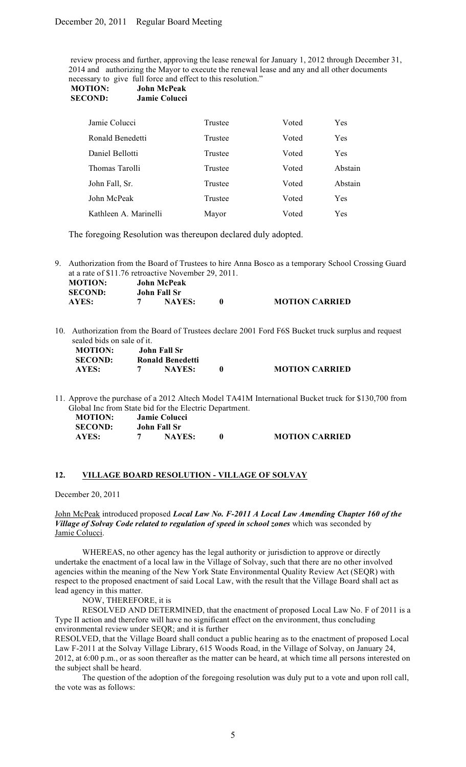review process and further, approving the lease renewal for January 1, 2012 through December 31, 2014 and authorizing the Mayor to execute the renewal lease and any and all other documents necessary to give full force and effect to this resolution."

| <b>MOTION:</b> | John McPeak          |
|----------------|----------------------|
| <b>SECOND:</b> | <b>Jamie Colucci</b> |

| Trustee | Voted | Yes     |
|---------|-------|---------|
| Trustee | Voted | Yes     |
| Trustee | Voted | Yes     |
| Trustee | Voted | Abstain |
| Trustee | Voted | Abstain |
| Trustee | Voted | Yes     |
| Mayor   | Voted | Yes     |
|         |       |         |

The foregoing Resolution was thereupon declared duly adopted.

9. Authorization from the Board of Trustees to hire Anna Bosco as a temporary School Crossing Guard at a rate of \$11.76 retroactive November 29, 2011.

| <b>MOTION:</b> | <b>John McPeak</b> |                       |
|----------------|--------------------|-----------------------|
| <b>SECOND:</b> | John Fall Sr       |                       |
| <b>AYES:</b>   | <b>NAYES:</b>      | <b>MOTION CARRIED</b> |

10. Authorization from the Board of Trustees declare 2001 Ford F6S Bucket truck surplus and request sealed bids on sale of it.

| <b>MOTION:</b> | John Fall Sr            |              |
|----------------|-------------------------|--------------|
| <b>SECOND:</b> | <b>Ronald Benedetti</b> |              |
| AYES:          | <b>NAYES:</b>           | $\mathbf{0}$ |

11. Approve the purchase of a 2012 Altech Model TA41M International Bucket truck for \$130,700 from Global Inc from State bid for the Electric Department.

**AYES: 7 NAYES: 0 MOTION CARRIED**

| <b>MOTION:</b> | <b>Jamie Colucci</b> |                       |
|----------------|----------------------|-----------------------|
| <b>SECOND:</b> | John Fall Sr         |                       |
| AYES:          | <b>NAYES:</b>        | <b>MOTION CARRIED</b> |

## **12. VILLAGE BOARD RESOLUTION - VILLAGE OF SOLVAY**

December 20, 2011

John McPeak introduced proposed *Local Law No. F-2011 A Local Law Amending Chapter 160 of the Village of Solvay Code related to regulation of speed in school zones* which was seconded by Jamie Colucci.

WHEREAS, no other agency has the legal authority or jurisdiction to approve or directly undertake the enactment of a local law in the Village of Solvay, such that there are no other involved agencies within the meaning of the New York State Environmental Quality Review Act (SEQR) with respect to the proposed enactment of said Local Law, with the result that the Village Board shall act as lead agency in this matter.

NOW, THEREFORE, it is

RESOLVED AND DETERMINED, that the enactment of proposed Local Law No. F of 2011 is a Type II action and therefore will have no significant effect on the environment, thus concluding environmental review under SEQR; and it is further

RESOLVED, that the Village Board shall conduct a public hearing as to the enactment of proposed Local Law F-2011 at the Solvay Village Library, 615 Woods Road, in the Village of Solvay, on January 24, 2012, at 6:00 p.m., or as soon thereafter as the matter can be heard, at which time all persons interested on the subject shall be heard.

The question of the adoption of the foregoing resolution was duly put to a vote and upon roll call, the vote was as follows: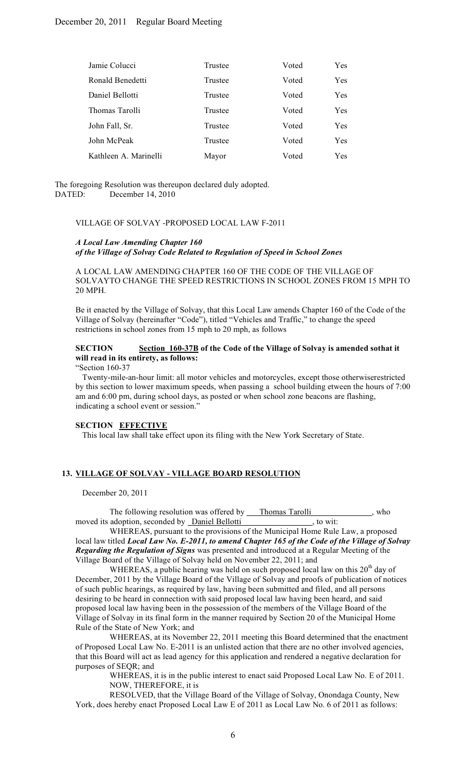| Jamie Colucci         | Trustee | Voted | Yes |
|-----------------------|---------|-------|-----|
| Ronald Benedetti      | Trustee | Voted | Yes |
| Daniel Bellotti       | Trustee | Voted | Yes |
| Thomas Tarolli        | Trustee | Voted | Yes |
| John Fall, Sr.        | Trustee | Voted | Yes |
| John McPeak           | Trustee | Voted | Yes |
| Kathleen A. Marinelli | Mayor   | Voted | Yes |

The foregoing Resolution was thereupon declared duly adopted. DATED: December 14, 2010

#### VILLAGE OF SOLVAY -PROPOSED LOCAL LAW F-2011

## *A Local Law Amending Chapter 160 of the Village of Solvay Code Related to Regulation of Speed in School Zones*

A LOCAL LAW AMENDING CHAPTER 160 OF THE CODE OF THE VILLAGE OF SOLVAYTO CHANGE THE SPEED RESTRICTIONS IN SCHOOL ZONES FROM 15 MPH TO 20 MPH.

Be it enacted by the Village of Solvay, that this Local Law amends Chapter 160 of the Code of the Village of Solvay (hereinafter "Code"), titled "Vehicles and Traffic," to change the speed restrictions in school zones from 15 mph to 20 mph, as follows

## **SECTION Section 160-37B of the Code of the Village of Solvay is amended sothat it will read in its entirety, as follows:**

"Section 160-37

Twenty-mile-an-hour limit: all motor vehicles and motorcycles, except those otherwiserestricted by this section to lower maximum speeds, when passing a school building etween the hours of 7:00 am and 6:00 pm, during school days, as posted or when school zone beacons are flashing, indicating a school event or session."

#### **SECTION EFFECTIVE**

This local law shall take effect upon its filing with the New York Secretary of State.

## **13. VILLAGE OF SOLVAY - VILLAGE BOARD RESOLUTION**

December 20, 2011

| The following resolution was offered by         | Thomas Tarolli<br>who |
|-------------------------------------------------|-----------------------|
| moved its adoption, seconded by Daniel Bellotti | to wit:               |

WHEREAS, pursuant to the provisions of the Municipal Home Rule Law, a proposed local law titled *Local Law No. E-2011, to amend Chapter 165 of the Code of the Village of Solvay Regarding the Regulation of Signs* was presented and introduced at a Regular Meeting of the Village Board of the Village of Solvay held on November 22, 2011; and

WHEREAS, a public hearing was held on such proposed local law on this  $20<sup>th</sup>$  day of December, 2011 by the Village Board of the Village of Solvay and proofs of publication of notices of such public hearings, as required by law, having been submitted and filed, and all persons desiring to be heard in connection with said proposed local law having been heard, and said proposed local law having been in the possession of the members of the Village Board of the Village of Solvay in its final form in the manner required by Section 20 of the Municipal Home Rule of the State of New York; and

WHEREAS, at its November 22, 2011 meeting this Board determined that the enactment of Proposed Local Law No. E-2011 is an unlisted action that there are no other involved agencies, that this Board will act as lead agency for this application and rendered a negative declaration for purposes of SEQR; and

> WHEREAS, it is in the public interest to enact said Proposed Local Law No. E of 2011. NOW, THEREFORE, it is

RESOLVED, that the Village Board of the Village of Solvay, Onondaga County, New York, does hereby enact Proposed Local Law E of 2011 as Local Law No. 6 of 2011 as follows: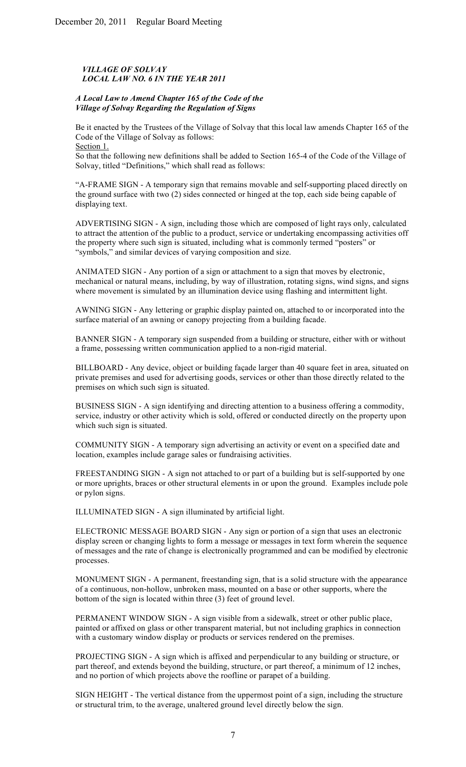# *VILLAGE OF SOLVAY LOCAL LAW NO. 6 IN THE YEAR 2011*

## *A Local Law to Amend Chapter 165 of the Code of the Village of Solvay Regarding the Regulation of Signs*

Be it enacted by the Trustees of the Village of Solvay that this local law amends Chapter 165 of the Code of the Village of Solvay as follows: Section 1.

So that the following new definitions shall be added to Section 165-4 of the Code of the Village of Solvay, titled "Definitions," which shall read as follows:

"A-FRAME SIGN - A temporary sign that remains movable and self-supporting placed directly on the ground surface with two (2) sides connected or hinged at the top, each side being capable of displaying text.

ADVERTISING SIGN - A sign, including those which are composed of light rays only, calculated to attract the attention of the public to a product, service or undertaking encompassing activities off the property where such sign is situated, including what is commonly termed "posters" or "symbols," and similar devices of varying composition and size.

ANIMATED SIGN - Any portion of a sign or attachment to a sign that moves by electronic, mechanical or natural means, including, by way of illustration, rotating signs, wind signs, and signs where movement is simulated by an illumination device using flashing and intermittent light.

AWNING SIGN - Any lettering or graphic display painted on, attached to or incorporated into the surface material of an awning or canopy projecting from a building facade.

BANNER SIGN - A temporary sign suspended from a building or structure, either with or without a frame, possessing written communication applied to a non-rigid material.

BILLBOARD - Any device, object or building façade larger than 40 square feet in area, situated on private premises and used for advertising goods, services or other than those directly related to the premises on which such sign is situated.

BUSINESS SIGN - A sign identifying and directing attention to a business offering a commodity, service, industry or other activity which is sold, offered or conducted directly on the property upon which such sign is situated.

COMMUNITY SIGN - A temporary sign advertising an activity or event on a specified date and location, examples include garage sales or fundraising activities.

FREESTANDING SIGN - A sign not attached to or part of a building but is self-supported by one or more uprights, braces or other structural elements in or upon the ground. Examples include pole or pylon signs.

ILLUMINATED SIGN - A sign illuminated by artificial light.

ELECTRONIC MESSAGE BOARD SIGN - Any sign or portion of a sign that uses an electronic display screen or changing lights to form a message or messages in text form wherein the sequence of messages and the rate of change is electronically programmed and can be modified by electronic processes.

MONUMENT SIGN - A permanent, freestanding sign, that is a solid structure with the appearance of a continuous, non-hollow, unbroken mass, mounted on a base or other supports, where the bottom of the sign is located within three (3) feet of ground level.

PERMANENT WINDOW SIGN - A sign visible from a sidewalk, street or other public place, painted or affixed on glass or other transparent material, but not including graphics in connection with a customary window display or products or services rendered on the premises.

PROJECTING SIGN - A sign which is affixed and perpendicular to any building or structure, or part thereof, and extends beyond the building, structure, or part thereof, a minimum of 12 inches, and no portion of which projects above the roofline or parapet of a building.

SIGN HEIGHT - The vertical distance from the uppermost point of a sign, including the structure or structural trim, to the average, unaltered ground level directly below the sign.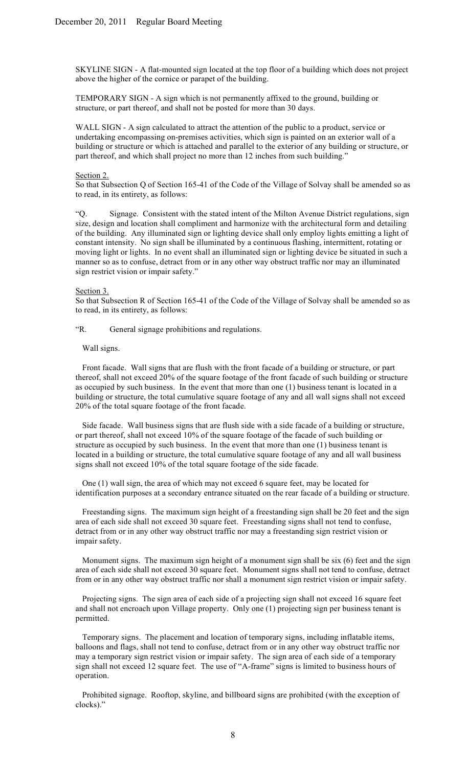SKYLINE SIGN - A flat-mounted sign located at the top floor of a building which does not project above the higher of the cornice or parapet of the building.

TEMPORARY SIGN - A sign which is not permanently affixed to the ground, building or structure, or part thereof, and shall not be posted for more than 30 days.

WALL SIGN - A sign calculated to attract the attention of the public to a product, service or undertaking encompassing on-premises activities, which sign is painted on an exterior wall of a building or structure or which is attached and parallel to the exterior of any building or structure, or part thereof, and which shall project no more than 12 inches from such building."

#### Section 2.

So that Subsection Q of Section 165-41 of the Code of the Village of Solvay shall be amended so as to read, in its entirety, as follows:

"Q. Signage. Consistent with the stated intent of the Milton Avenue District regulations, sign size, design and location shall compliment and harmonize with the architectural form and detailing of the building. Any illuminated sign or lighting device shall only employ lights emitting a light of constant intensity. No sign shall be illuminated by a continuous flashing, intermittent, rotating or moving light or lights. In no event shall an illuminated sign or lighting device be situated in such a manner so as to confuse, detract from or in any other way obstruct traffic nor may an illuminated sign restrict vision or impair safety."

#### Section 3.

So that Subsection R of Section 165-41 of the Code of the Village of Solvay shall be amended so as to read, in its entirety, as follows:

"R. General signage prohibitions and regulations.

#### Wall signs.

Front facade. Wall signs that are flush with the front facade of a building or structure, or part thereof, shall not exceed 20% of the square footage of the front facade of such building or structure as occupied by such business. In the event that more than one (1) business tenant is located in a building or structure, the total cumulative square footage of any and all wall signs shall not exceed 20% of the total square footage of the front facade.

Side facade. Wall business signs that are flush side with a side facade of a building or structure, or part thereof, shall not exceed 10% of the square footage of the facade of such building or structure as occupied by such business. In the event that more than one (1) business tenant is located in a building or structure, the total cumulative square footage of any and all wall business signs shall not exceed 10% of the total square footage of the side facade.

One (1) wall sign, the area of which may not exceed 6 square feet, may be located for identification purposes at a secondary entrance situated on the rear facade of a building or structure.

Freestanding signs. The maximum sign height of a freestanding sign shall be 20 feet and the sign area of each side shall not exceed 30 square feet. Freestanding signs shall not tend to confuse, detract from or in any other way obstruct traffic nor may a freestanding sign restrict vision or impair safety.

Monument signs. The maximum sign height of a monument sign shall be six (6) feet and the sign area of each side shall not exceed 30 square feet. Monument signs shall not tend to confuse, detract from or in any other way obstruct traffic nor shall a monument sign restrict vision or impair safety.

Projecting signs. The sign area of each side of a projecting sign shall not exceed 16 square feet and shall not encroach upon Village property. Only one (1) projecting sign per business tenant is permitted.

Temporary signs. The placement and location of temporary signs, including inflatable items, balloons and flags, shall not tend to confuse, detract from or in any other way obstruct traffic nor may a temporary sign restrict vision or impair safety. The sign area of each side of a temporary sign shall not exceed 12 square feet. The use of "A-frame" signs is limited to business hours of operation.

Prohibited signage. Rooftop, skyline, and billboard signs are prohibited (with the exception of clocks)."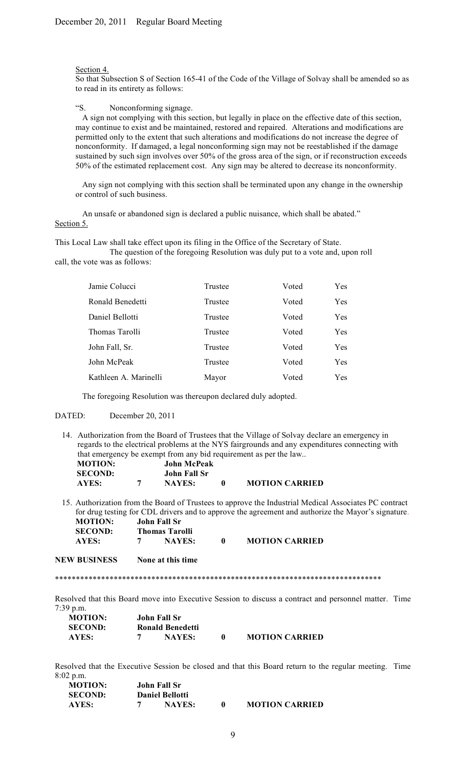#### Section 4.

So that Subsection S of Section 165-41 of the Code of the Village of Solvay shall be amended so as to read in its entirety as follows:

#### "S. Nonconforming signage.

A sign not complying with this section, but legally in place on the effective date of this section, may continue to exist and be maintained, restored and repaired. Alterations and modifications are permitted only to the extent that such alterations and modifications do not increase the degree of nonconformity. If damaged, a legal nonconforming sign may not be reestablished if the damage sustained by such sign involves over 50% of the gross area of the sign, or if reconstruction exceeds 50% of the estimated replacement cost. Any sign may be altered to decrease its nonconformity.

Any sign not complying with this section shall be terminated upon any change in the ownership or control of such business.

An unsafe or abandoned sign is declared a public nuisance, which shall be abated." Section 5.

This Local Law shall take effect upon its filing in the Office of the Secretary of State.

The question of the foregoing Resolution was duly put to a vote and, upon roll call, the vote was as follows:

| Jamie Colucci         | Trustee | Voted | <b>Yes</b> |
|-----------------------|---------|-------|------------|
| Ronald Benedetti      | Trustee | Voted | Yes        |
| Daniel Bellotti       | Trustee | Voted | Yes        |
| Thomas Tarolli        | Trustee | Voted | Yes        |
| John Fall, Sr.        | Trustee | Voted | Yes        |
| John McPeak           | Trustee | Voted | Yes        |
| Kathleen A. Marinelli | Mayor   | Voted | Yes        |

The foregoing Resolution was thereupon declared duly adopted.

# DATED: December 20, 2011

14. Authorization from the Board of Trustees that the Village of Solvay declare an emergency in regards to the electrical problems at the NYS fairgrounds and any expenditures connecting with that emergency be exempt from any bid requirement as per the law..

| <b>MOTION:</b> | <b>John McPeak</b> |                       |
|----------------|--------------------|-----------------------|
| <b>SECOND:</b> | John Fall Sr       |                       |
| AYES:          | <b>NAYES:</b>      | <b>MOTION CARRIED</b> |

15. Authorization from the Board of Trustees to approve the Industrial Medical Associates PC contract for drug testing for CDL drivers and to approve the agreement and authorize the Mayor's signature. **MOTION: John Fall Sr**

| 1110 LLOTS     | OVIIII FAIL DI        |               |  |                       |
|----------------|-----------------------|---------------|--|-----------------------|
| <b>SECOND:</b> | <b>Thomas Tarolli</b> |               |  |                       |
| AYES:          |                       | <b>NAYES:</b> |  | <b>MOTION CARRIED</b> |

**NEW BUSINESS None at this time**

\*\*\*\*\*\*\*\*\*\*\*\*\*\*\*\*\*\*\*\*\*\*\*\*\*\*\*\*\*\*\*\*\*\*\*\*\*\*\*\*\*\*\*\*\*\*\*\*\*\*\*\*\*\*\*\*\*\*\*\*\*\*\*\*\*\*\*\*\*\*\*\*\*\*\*\*\*\*

Resolved that this Board move into Executive Session to discuss a contract and personnel matter. Time 7:39 p.m.

| <b>MOTION:</b> | John Fall Sr     |                       |
|----------------|------------------|-----------------------|
| <b>SECOND:</b> | Ronald Benedetti |                       |
| AYES:          | <b>NAYES:</b>    | <b>MOTION CARRIED</b> |

Resolved that the Executive Session be closed and that this Board return to the regular meeting. Time 8:02 p.m.

| <b>MOTION:</b> | John Fall Sr           |                       |
|----------------|------------------------|-----------------------|
| <b>SECOND:</b> | <b>Daniel Bellotti</b> |                       |
| AYES:          | <b>NAYES:</b>          | <b>MOTION CARRIED</b> |